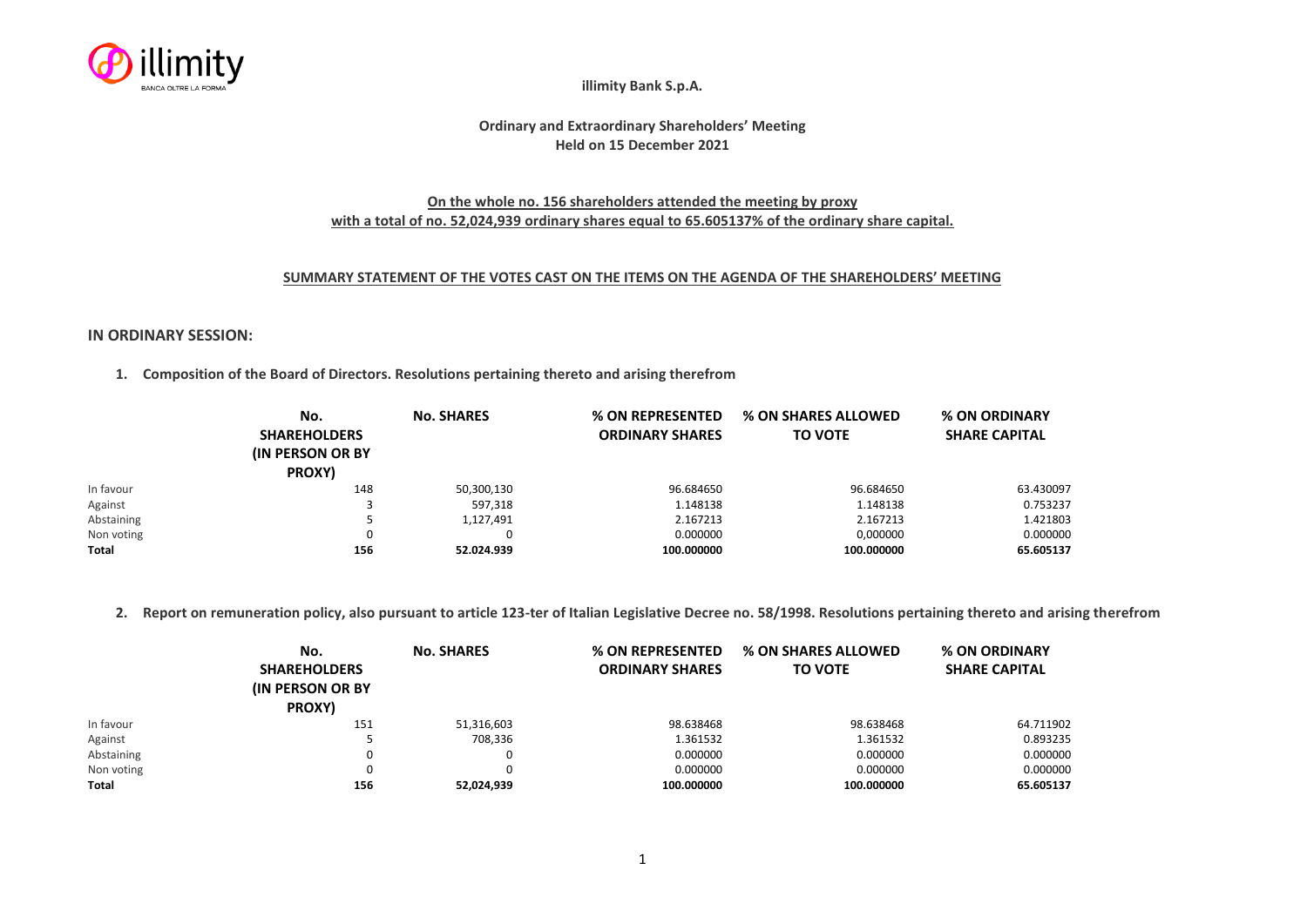

**illimity Bank S.p.A.**

# **Ordinary and Extraordinary Shareholders' Meeting Held on 15 December 2021**

## **On the whole no. 156 shareholders attended the meeting by proxy with a total of no. 52,024,939 ordinary shares equal to 65.605137% of the ordinary share capital.**

#### **SUMMARY STATEMENT OF THE VOTES CAST ON THE ITEMS ON THE AGENDA OF THE SHAREHOLDERS' MEETING**

### **IN ORDINARY SESSION:**

**1. Composition of the Board of Directors. Resolutions pertaining thereto and arising therefrom**

|            | No.<br><b>SHAREHOLDERS</b><br><b>(IN PERSON OR BY)</b><br>PROXY) | <b>No. SHARES</b> | % ON REPRESENTED<br><b>ORDINARY SHARES</b> | % ON SHARES ALLOWED<br><b>TO VOTE</b> | % ON ORDINARY<br><b>SHARE CAPITAL</b> |
|------------|------------------------------------------------------------------|-------------------|--------------------------------------------|---------------------------------------|---------------------------------------|
| In favour  | 148                                                              | 50,300,130        | 96.684650                                  | 96.684650                             | 63.430097                             |
| Against    |                                                                  | 597,318           | 1.148138                                   | 1.148138                              | 0.753237                              |
| Abstaining |                                                                  | 1,127,491         | 2.167213                                   | 2.167213                              | 1.421803                              |
| Non voting | 0                                                                |                   | 0.000000                                   | 0,000000                              | 0.000000                              |
| Total      | 156                                                              | 52.024.939        | 100.000000                                 | 100.000000                            | 65.605137                             |

**2. Report on remuneration policy, also pursuant to article 123-ter of Italian Legislative Decree no. 58/1998. Resolutions pertaining thereto and arising therefrom**

|            | No.                      | <b>No. SHARES</b> | % ON REPRESENTED       | % ON SHARES ALLOWED | % ON ORDINARY        |
|------------|--------------------------|-------------------|------------------------|---------------------|----------------------|
|            | <b>SHAREHOLDERS</b>      |                   | <b>ORDINARY SHARES</b> | <b>TO VOTE</b>      | <b>SHARE CAPITAL</b> |
|            | <b>(IN PERSON OR BY)</b> |                   |                        |                     |                      |
|            | PROXY)                   |                   |                        |                     |                      |
| In favour  | 151                      | 51,316,603        | 98.638468              | 98.638468           | 64.711902            |
| Against    |                          | 708,336           | 1.361532               | 1.361532            | 0.893235             |
| Abstaining | 0                        | 0                 | 0.000000               | 0.000000            | 0.000000             |
| Non voting | 0                        |                   | 0.000000               | 0.000000            | 0.000000             |
| Total      | 156                      | 52,024,939        | 100.000000             | 100.000000          | 65.605137            |